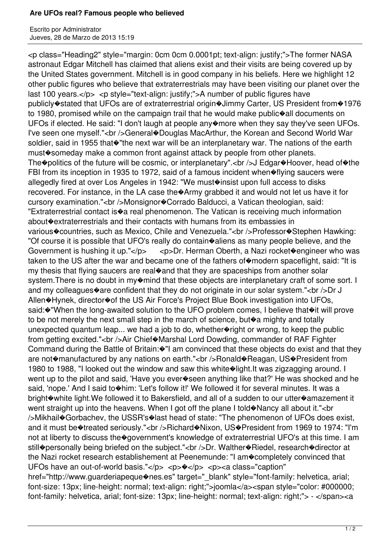## **Are UFOs real? Famous people who believed**

Escrito por Administrator Jueves, 28 de Marzo de 2013 15:19

<p class="Heading2" style="margin: 0cm 0cm 0.0001pt; text-align: justify;">The former NASA astronaut Edgar Mitchell has claimed that aliens exist and their visits are being covered up by the United States government. Mitchell is in good company in his beliefs. Here we highlight 12 other public figures who believe that extraterrestrials may have been visiting our planet over the last 100 years. $\langle p \rangle$   $\langle p \rangle$  style="text-align: justify;">A number of public figures have publicly�stated that UFOs are of extraterrestrial origin�Jimmy Carter, US President from�1976 to 1980, promised while on the campaign trail that he would make public�all documents on UFOs if elected. He said: "I don't laugh at people any more when they say they've seen UFOs. I've seen one myself."<br />General�Douglas MacArthur, the Korean and Second World War soldier, said in 1955 that<sup>\*</sup> the next war will be an interplanetary war. The nations of the earth must�someday make a common front against attack by people from other planets. The�politics of the future will be cosmic, or interplanetary".<br />
J Edgar�Hoover, head of�the FBI from its inception in 1935 to 1972, said of a famous incident when�flying saucers were allegedly fired at over Los Angeles in 1942: "We must<sup>o</sup>insist upon full access to disks recovered. For instance, in the LA case the�Army grabbed it and would not let us have it for cursory examination."<br />Monsignor<br/>  $\bullet$ Corrado Balducci, a Vatican theologian, said: "Extraterrestrial contact is�a real phenomenon. The Vatican is receiving much information about�extraterrestrials and their contacts with humans from its embassies in various�countries, such as Mexico, Chile and Venezuela."<br />>
rofessor�Stephen Hawking: "Of course it is possible that UFO's really do contain�aliens as many people believe, and the Government is hushing it up."</p> <p>Dr. Herman Oberth, a Nazi rocket�engineer who was taken to the US after the war and became one of the fathers of modern spaceflight, said: "It is my thesis that flying saucers are real�and that they are spaceships from another solar system. There is no doubt in my $\circ$ mind that these objects are interplanetary craft of some sort. I and my colleagues $\circ$ are confident that they do not originate in our solar system."<br/>>br />Dr J Allen�Hynek, director�of the US Air Force's Project Blue Book investigation into UFOs, said: $\cdot$  "When the long-awaited solution to the UFO problem comes, I believe that $\cdot$ it will prove to be not merely the next small step in the march of science, but�a mighty and totally unexpected quantum leap... we had a job to do, whether right or wrong, to keep the public from getting excited."<br />Air Chief�Marshal Lord Dowding, commander of RAF Fighter Command during the Battle of Britain: $\circ$ "I am convinced that these objects do exist and that they are not�manufactured by any nations on earth."<br />>  $R$ onald�Reagan, US�President from 1980 to 1988. "I looked out the window and saw this white ight. It was zigzagging around. I went up to the pilot and said, 'Have you ever�seen anything like that?' He was shocked and he said, 'nope.' And I said to $\diamond$ him: 'Let's follow it!' We followed it for several minutes. It was a bright�white light.We followed it to Bakersfield, and all of a sudden to our utter�amazement it went straight up into the heavens. When I got off the plane I told $\circ$ Nancy all about it."<br/>chrow the heavens. When I got off the plane I told $\circ$ Nancy all about it."<br/>the measurement />Mikhail�Gorbachev, the USSR's�last head of state: "The phenomenon of UFOs does exist, and it must be<sup>\*</sup>treated seriously."<br />Richard<br/>\*Nixon, US\*President from 1969 to 1974: "I'm not at liberty to discuss the�government's knowledge of extraterrestrial UFO's at this time. I am still $\circ$ personally being briefed on the subject."<br />br. Walther $\circ$ Riedel, research $\circ$ director at the Nazi rocket research establishement at Peenemunde: "I am�completely convinced that UFOs have an out-of-world basis."</p> <p> <p> <p><a class="caption" href="http://www.guarderiapeque�nes.es" target=" blank" style="font-family: helvetica, arial; font-size: 13px; line-height: normal; text-align: right;">joomla</a><span style="color: #000000;

font-family: helvetica, arial; font-size: 13px; line-height: normal; text-align: right;"> - </span><a